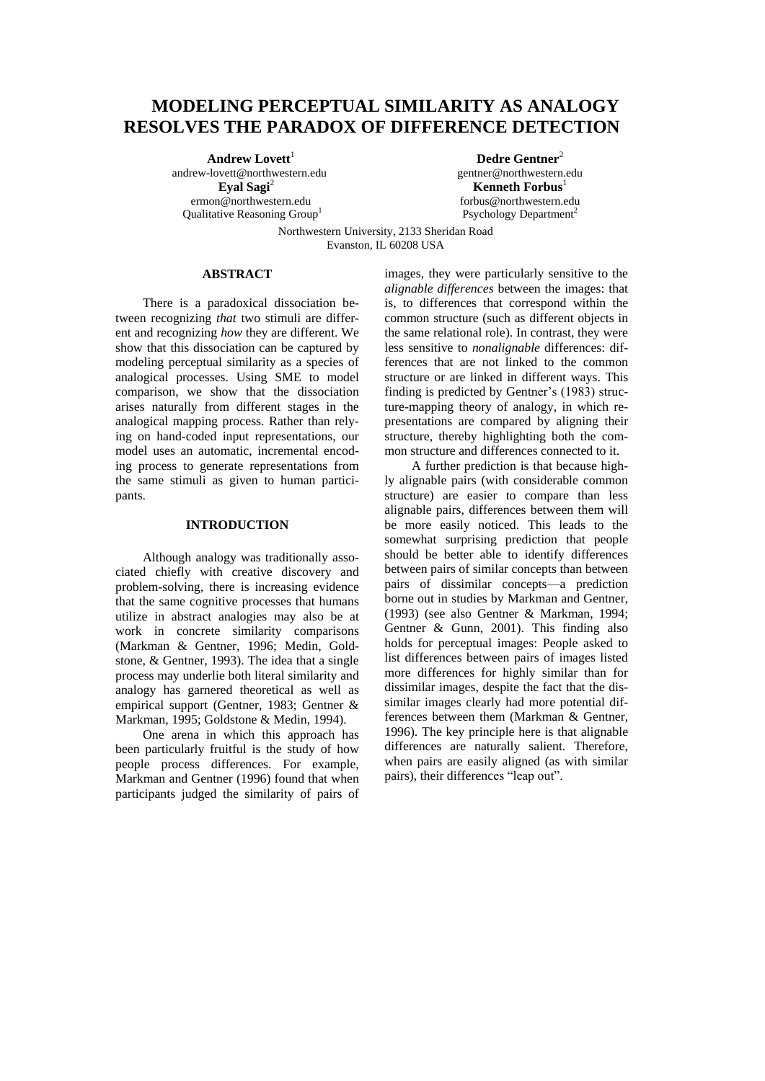# **MODELING PERCEPTUAL SIMILARITY AS ANALOGY RESOLVES THE PARADOX OF DIFFERENCE DETECTION**

Andrew Lovett<sup>1</sup> andrew-lovett@northwestern.edu **Eyal Sagi**<sup>2</sup> ermon@northwestern.edu

Qualitative Reasoning Group<sup>1</sup>

**Dedre Gentner**<sup>2</sup> gentner@northwestern.edu **Kenneth Forbus**<sup>1</sup> forbus@northwestern.edu Psychology Department<sup>2</sup>

Northwestern University, 2133 Sheridan Road Evanston, IL 60208 USA

## **ABSTRACT**

There is a paradoxical dissociation between recognizing *that* two stimuli are different and recognizing *how* they are different. We show that this dissociation can be captured by modeling perceptual similarity as a species of analogical processes. Using SME to model comparison, we show that the dissociation arises naturally from different stages in the analogical mapping process. Rather than relying on hand-coded input representations, our model uses an automatic, incremental encoding process to generate representations from the same stimuli as given to human participants.

## **INTRODUCTION**

Although analogy was traditionally associated chiefly with creative discovery and problem-solving, there is increasing evidence that the same cognitive processes that humans utilize in abstract analogies may also be at work in concrete similarity comparisons (Markman & Gentner, 1996; Medin, Goldstone, & Gentner, 1993). The idea that a single process may underlie both literal similarity and analogy has garnered theoretical as well as empirical support (Gentner, 1983; Gentner & Markman, 1995; Goldstone & Medin, 1994).

One arena in which this approach has been particularly fruitful is the study of how people process differences. For example, Markman and Gentner (1996) found that when participants judged the similarity of pairs of

images, they were particularly sensitive to the *alignable differences* between the images: that is, to differences that correspond within the common structure (such as different objects in the same relational role). In contrast, they were less sensitive to *nonalignable* differences: differences that are not linked to the common structure or are linked in different ways. This finding is predicted by Gentner's (1983) structure-mapping theory of analogy, in which representations are compared by aligning their structure, thereby highlighting both the common structure and differences connected to it.

A further prediction is that because highly alignable pairs (with considerable common structure) are easier to compare than less alignable pairs, differences between them will be more easily noticed. This leads to the somewhat surprising prediction that people should be better able to identify differences between pairs of similar concepts than between pairs of dissimilar concepts—a prediction borne out in studies by Markman and Gentner, (1993) (see also Gentner & Markman, 1994; Gentner & Gunn, 2001). This finding also holds for perceptual images: People asked to list differences between pairs of images listed more differences for highly similar than for dissimilar images, despite the fact that the dissimilar images clearly had more potential differences between them (Markman & Gentner, 1996). The key principle here is that alignable differences are naturally salient. Therefore, when pairs are easily aligned (as with similar pairs), their differences "leap out".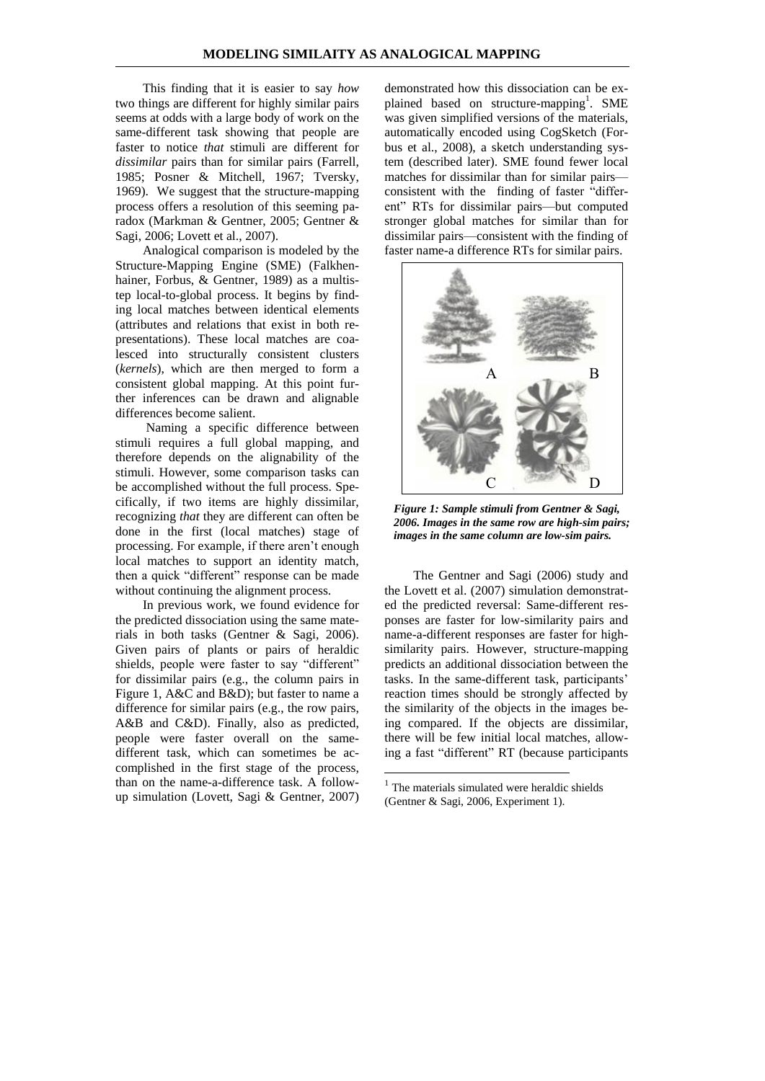This finding that it is easier to say *how*  two things are different for highly similar pairs seems at odds with a large body of work on the same-different task showing that people are faster to notice *that* stimuli are different for *dissimilar* pairs than for similar pairs (Farrell, 1985; Posner & Mitchell, 1967; Tversky, 1969). We suggest that the structure-mapping process offers a resolution of this seeming paradox (Markman & Gentner, 2005; Gentner & Sagi, 2006; Lovett et al., 2007).

Analogical comparison is modeled by the Structure-Mapping Engine (SME) (Falkhenhainer, Forbus, & Gentner, 1989) as a multistep local-to-global process. It begins by finding local matches between identical elements (attributes and relations that exist in both representations). These local matches are coalesced into structurally consistent clusters (*kernels*), which are then merged to form a consistent global mapping. At this point further inferences can be drawn and alignable differences become salient.

Naming a specific difference between stimuli requires a full global mapping, and therefore depends on the alignability of the stimuli. However, some comparison tasks can be accomplished without the full process. Specifically, if two items are highly dissimilar, recognizing *that* they are different can often be done in the first (local matches) stage of processing. For example, if there aren't enough local matches to support an identity match, then a quick "different" response can be made without continuing the alignment process.

In previous work, we found evidence for the predicted dissociation using the same materials in both tasks (Gentner & Sagi, 2006). Given pairs of plants or pairs of heraldic shields, people were faster to say "different" for dissimilar pairs (e.g., the column pairs in Figure 1, A&C and B&D); but faster to name a difference for similar pairs (e.g., the row pairs, A&B and C&D). Finally, also as predicted, people were faster overall on the samedifferent task, which can sometimes be accomplished in the first stage of the process, than on the name-a-difference task. A followup simulation (Lovett, Sagi & Gentner, 2007)

demonstrated how this dissociation can be explained based on structure-mapping<sup>1</sup>. SME was given simplified versions of the materials, automatically encoded using CogSketch (Forbus et al., 2008), a sketch understanding system (described later). SME found fewer local matches for dissimilar than for similar pairs consistent with the finding of faster "different" RTs for dissimilar pairs—but computed stronger global matches for similar than for dissimilar pairs—consistent with the finding of faster name-a difference RTs for similar pairs.



*Figure 1: Sample stimuli from Gentner & Sagi, 2006. Images in the same row are high-sim pairs; images in the same column are low-sim pairs.*

The Gentner and Sagi (2006) study and the Lovett et al. (2007) simulation demonstrated the predicted reversal: Same-different responses are faster for low-similarity pairs and name-a-different responses are faster for highsimilarity pairs. However, structure-mapping predicts an additional dissociation between the tasks. In the same-different task, participants' reaction times should be strongly affected by the similarity of the objects in the images being compared. If the objects are dissimilar, there will be few initial local matches, allowing a fast "different" RT (because participants

1

<sup>1</sup> The materials simulated were heraldic shields (Gentner & Sagi, 2006, Experiment 1).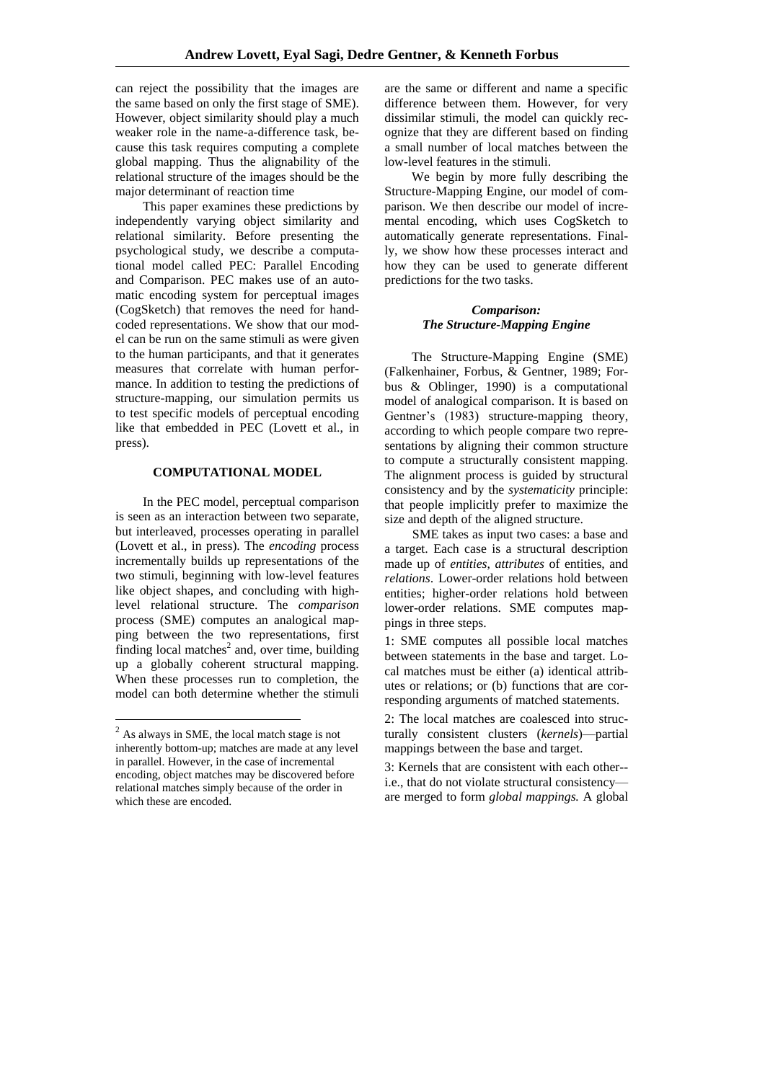can reject the possibility that the images are the same based on only the first stage of SME). However, object similarity should play a much weaker role in the name-a-difference task, because this task requires computing a complete global mapping. Thus the alignability of the relational structure of the images should be the major determinant of reaction time

This paper examines these predictions by independently varying object similarity and relational similarity. Before presenting the psychological study, we describe a computational model called PEC: Parallel Encoding and Comparison. PEC makes use of an automatic encoding system for perceptual images (CogSketch) that removes the need for handcoded representations. We show that our model can be run on the same stimuli as were given to the human participants, and that it generates measures that correlate with human performance. In addition to testing the predictions of structure-mapping, our simulation permits us to test specific models of perceptual encoding like that embedded in PEC (Lovett et al., in press).

# **COMPUTATIONAL MODEL**

In the PEC model, perceptual comparison is seen as an interaction between two separate, but interleaved, processes operating in parallel (Lovett et al., in press). The *encoding* process incrementally builds up representations of the two stimuli, beginning with low-level features like object shapes, and concluding with highlevel relational structure. The *comparison* process (SME) computes an analogical mapping between the two representations, first finding local matches<sup>2</sup> and, over time, building up a globally coherent structural mapping. When these processes run to completion, the model can both determine whether the stimuli

 $\overline{a}$ 

are the same or different and name a specific difference between them. However, for very dissimilar stimuli, the model can quickly recognize that they are different based on finding a small number of local matches between the low-level features in the stimuli.

We begin by more fully describing the Structure-Mapping Engine, our model of comparison. We then describe our model of incremental encoding, which uses CogSketch to automatically generate representations. Finally, we show how these processes interact and how they can be used to generate different predictions for the two tasks.

# *Comparison: The Structure-Mapping Engine*

The Structure-Mapping Engine (SME) (Falkenhainer, Forbus, & Gentner, 1989; Forbus & Oblinger, 1990) is a computational model of analogical comparison. It is based on Gentner's (1983) structure-mapping theory, according to which people compare two representations by aligning their common structure to compute a structurally consistent mapping. The alignment process is guided by structural consistency and by the *systematicity* principle: that people implicitly prefer to maximize the size and depth of the aligned structure.

SME takes as input two cases: a base and a target. Each case is a structural description made up of *entities*, *attributes* of entities, and *relations*. Lower-order relations hold between entities; higher-order relations hold between lower-order relations. SME computes mappings in three steps.

1: SME computes all possible local matches between statements in the base and target. Local matches must be either (a) identical attributes or relations; or (b) functions that are corresponding arguments of matched statements.

2: The local matches are coalesced into structurally consistent clusters (*kernels*)—partial mappings between the base and target.

3: Kernels that are consistent with each other- i.e., that do not violate structural consistency are merged to form *global mappings.* A global

 $2$  As always in SME, the local match stage is not inherently bottom-up; matches are made at any level in parallel. However, in the case of incremental encoding, object matches may be discovered before relational matches simply because of the order in which these are encoded.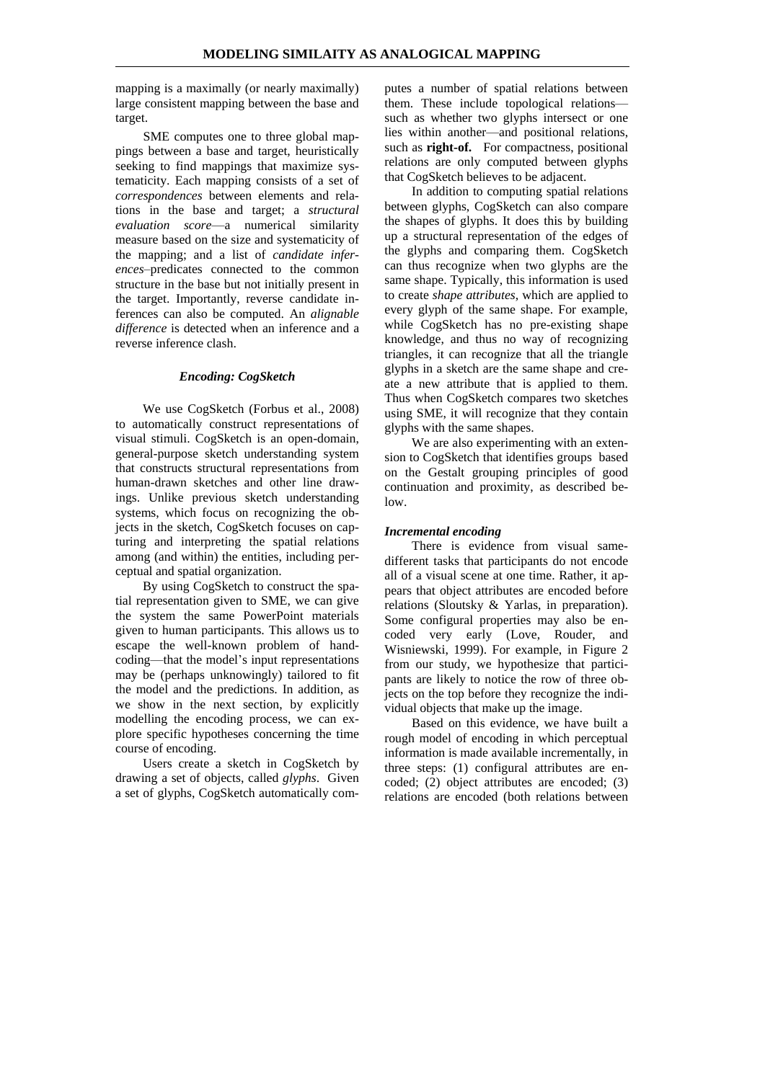mapping is a maximally (or nearly maximally) large consistent mapping between the base and target.

SME computes one to three global mappings between a base and target, heuristically seeking to find mappings that maximize systematicity. Each mapping consists of a set of *correspondences* between elements and relations in the base and target; a *structural evaluation score*—a numerical similarity measure based on the size and systematicity of the mapping; and a list of *candidate inferences*–predicates connected to the common structure in the base but not initially present in the target. Importantly, reverse candidate inferences can also be computed. An *alignable difference* is detected when an inference and a reverse inference clash.

#### *Encoding: CogSketch*

We use CogSketch (Forbus et al., 2008) to automatically construct representations of visual stimuli. CogSketch is an open-domain, general-purpose sketch understanding system that constructs structural representations from human-drawn sketches and other line drawings. Unlike previous sketch understanding systems, which focus on recognizing the objects in the sketch, CogSketch focuses on capturing and interpreting the spatial relations among (and within) the entities, including perceptual and spatial organization.

By using CogSketch to construct the spatial representation given to SME, we can give the system the same PowerPoint materials given to human participants. This allows us to escape the well-known problem of handcoding—that the model's input representations may be (perhaps unknowingly) tailored to fit the model and the predictions. In addition, as we show in the next section, by explicitly modelling the encoding process, we can explore specific hypotheses concerning the time course of encoding.

Users create a sketch in CogSketch by drawing a set of objects, called *glyphs*. Given a set of glyphs, CogSketch automatically com-

putes a number of spatial relations between them. These include topological relations such as whether two glyphs intersect or one lies within another—and positional relations, such as **right-of.** For compactness, positional relations are only computed between glyphs that CogSketch believes to be adjacent.

In addition to computing spatial relations between glyphs, CogSketch can also compare the shapes of glyphs. It does this by building up a structural representation of the edges of the glyphs and comparing them. CogSketch can thus recognize when two glyphs are the same shape. Typically, this information is used to create *shape attributes*, which are applied to every glyph of the same shape. For example, while CogSketch has no pre-existing shape knowledge, and thus no way of recognizing triangles, it can recognize that all the triangle glyphs in a sketch are the same shape and create a new attribute that is applied to them. Thus when CogSketch compares two sketches using SME, it will recognize that they contain glyphs with the same shapes.

We are also experimenting with an extension to CogSketch that identifies groups based on the Gestalt grouping principles of good continuation and proximity, as described below.

#### *Incremental encoding*

There is evidence from visual samedifferent tasks that participants do not encode all of a visual scene at one time. Rather, it appears that object attributes are encoded before relations (Sloutsky & Yarlas, in preparation). Some configural properties may also be encoded very early (Love, Rouder, and Wisniewski, 1999). For example, in Figure 2 from our study, we hypothesize that participants are likely to notice the row of three objects on the top before they recognize the individual objects that make up the image.

Based on this evidence, we have built a rough model of encoding in which perceptual information is made available incrementally, in three steps: (1) configural attributes are encoded; (2) object attributes are encoded; (3) relations are encoded (both relations between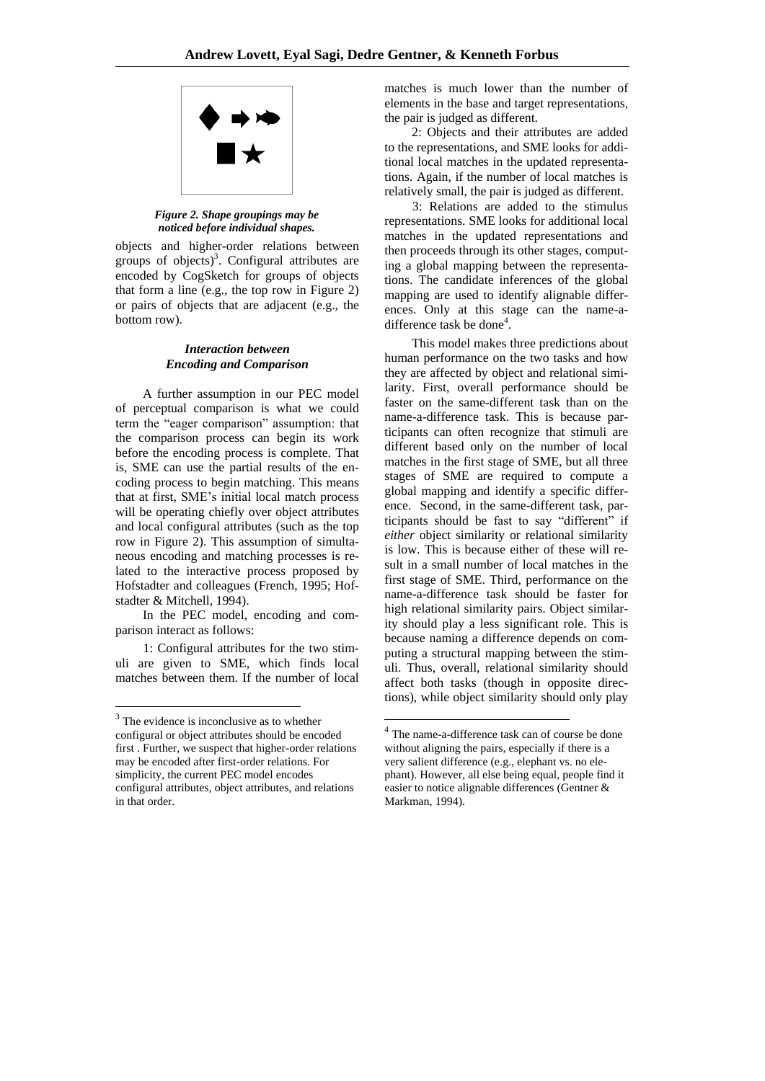

*Figure 2. Shape groupings may be noticed before individual shapes.*

objects and higher-order relations between groups of objects)<sup>3</sup>. Configural attributes are encoded by CogSketch for groups of objects that form a line (e.g., the top row in Figure 2) or pairs of objects that are adjacent (e.g., the bottom row).

## *Interaction between Encoding and Comparison*

A further assumption in our PEC model of perceptual comparison is what we could term the "eager comparison" assumption: that the comparison process can begin its work before the encoding process is complete. That is, SME can use the partial results of the encoding process to begin matching. This means that at first, SME's initial local match process will be operating chiefly over object attributes and local configural attributes (such as the top row in Figure 2). This assumption of simultaneous encoding and matching processes is related to the interactive process proposed by Hofstadter and colleagues (French, 1995; Hofstadter & Mitchell, 1994).

In the PEC model, encoding and comparison interact as follows:

1: Configural attributes for the two stimuli are given to SME, which finds local matches between them. If the number of local

 $\overline{a}$ 

matches is much lower than the number of elements in the base and target representations, the pair is judged as different.

2: Objects and their attributes are added to the representations, and SME looks for additional local matches in the updated representations. Again, if the number of local matches is relatively small, the pair is judged as different.

3: Relations are added to the stimulus representations. SME looks for additional local matches in the updated representations and then proceeds through its other stages, computing a global mapping between the representations. The candidate inferences of the global mapping are used to identify alignable differences. Only at this stage can the name-adifference task be done<sup>4</sup>.

This model makes three predictions about human performance on the two tasks and how they are affected by object and relational similarity. First, overall performance should be faster on the same-different task than on the name-a-difference task. This is because participants can often recognize that stimuli are different based only on the number of local matches in the first stage of SME, but all three stages of SME are required to compute a global mapping and identify a specific difference. Second, in the same-different task, participants should be fast to say "different" if *either* object similarity or relational similarity is low. This is because either of these will result in a small number of local matches in the first stage of SME. Third, performance on the name-a-difference task should be faster for high relational similarity pairs. Object similarity should play a less significant role. This is because naming a difference depends on computing a structural mapping between the stimuli. Thus, overall, relational similarity should affect both tasks (though in opposite directions), while object similarity should only play

<u>.</u>

<sup>&</sup>lt;sup>3</sup> The evidence is inconclusive as to whether configural or object attributes should be encoded first . Further, we suspect that higher-order relations may be encoded after first-order relations. For simplicity, the current PEC model encodes configural attributes, object attributes, and relations in that order.

<sup>4</sup> The name-a-difference task can of course be done without aligning the pairs, especially if there is a very salient difference (e.g., elephant vs. no elephant). However, all else being equal, people find it easier to notice alignable differences (Gentner & Markman, 1994).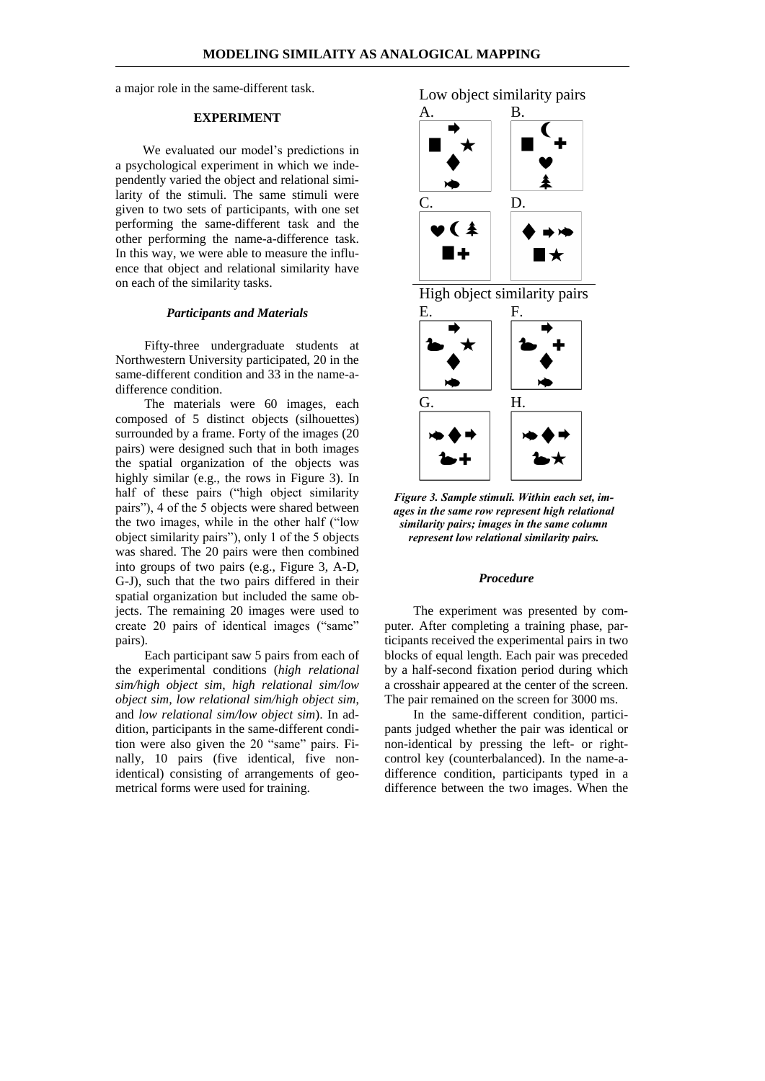a major role in the same-different task.

#### **EXPERIMENT**

We evaluated our model's predictions in a psychological experiment in which we independently varied the object and relational similarity of the stimuli. The same stimuli were given to two sets of participants, with one set performing the same-different task and the other performing the name-a-difference task. In this way, we were able to measure the influence that object and relational similarity have on each of the similarity tasks.

#### *Participants and Materials*

Fifty-three undergraduate students at Northwestern University participated, 20 in the same-different condition and 33 in the name-adifference condition.

The materials were 60 images, each composed of 5 distinct objects (silhouettes) surrounded by a frame. Forty of the images (20 pairs) were designed such that in both images the spatial organization of the objects was highly similar (e.g., the rows in Figure 3). In half of these pairs ("high object similarity pairs"), 4 of the 5 objects were shared between the two images, while in the other half ("low object similarity pairs‖), only 1 of the 5 objects was shared. The 20 pairs were then combined into groups of two pairs (e.g., Figure 3, A-D, G-J), such that the two pairs differed in their spatial organization but included the same objects. The remaining 20 images were used to create 20 pairs of identical images ("same" pairs).

Each participant saw 5 pairs from each of the experimental conditions (*high relational sim/high object sim*, *high relational sim/low object sim, low relational sim/high object sim*, and *low relational sim/low object sim*). In addition, participants in the same-different condition were also given the 20 "same" pairs. Finally, 10 pairs (five identical, five nonidentical) consisting of arrangements of geometrical forms were used for training.









*Figure 3. Sample stimuli. Within each set, images in the same row represent high relational similarity pairs; images in the same column represent low relational similarity pairs.*

#### *Procedure*

The experiment was presented by computer. After completing a training phase, participants received the experimental pairs in two blocks of equal length. Each pair was preceded by a half-second fixation period during which a crosshair appeared at the center of the screen. The pair remained on the screen for 3000 ms.

In the same-different condition, participants judged whether the pair was identical or non-identical by pressing the left- or rightcontrol key (counterbalanced). In the name-adifference condition, participants typed in a difference between the two images. When the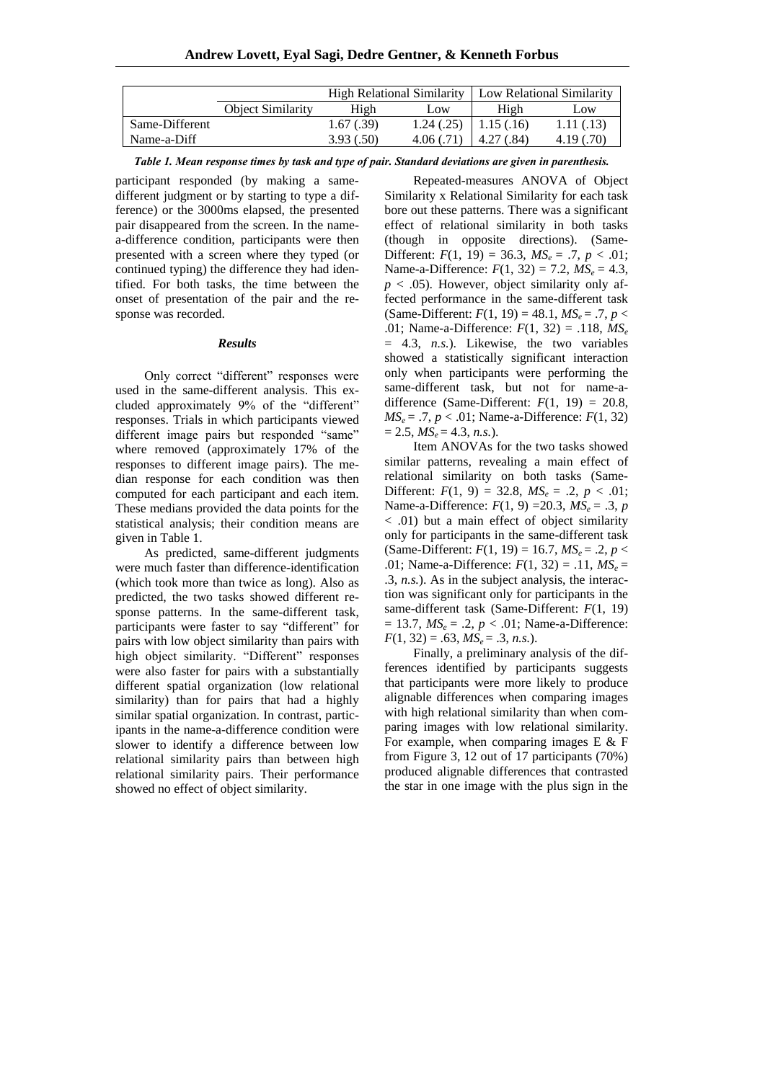|                |                          | High Relational Similarity |            | Low Relational Similarity |            |
|----------------|--------------------------|----------------------------|------------|---------------------------|------------|
|                | <b>Object Similarity</b> | High                       | Low        | High                      | Low        |
| Same-Different |                          | 1.67(0.39)                 | 1.24(.25)  | $\pm 1.15(0.16)$          | 1.11(0.13) |
| Name-a-Diff    |                          | 3.93(.50)                  | 4.06(0.71) | $\pm 4.27$ (.84)          | 4.19(0.70) |

*Table 1. Mean response times by task and type of pair. Standard deviations are given in parenthesis.*

participant responded (by making a samedifferent judgment or by starting to type a difference) or the 3000ms elapsed, the presented pair disappeared from the screen. In the namea-difference condition, participants were then presented with a screen where they typed (or continued typing) the difference they had identified. For both tasks, the time between the onset of presentation of the pair and the response was recorded.

## *Results*

Only correct "different" responses were used in the same-different analysis. This excluded approximately 9% of the "different" responses. Trials in which participants viewed different image pairs but responded "same" where removed (approximately 17% of the responses to different image pairs). The median response for each condition was then computed for each participant and each item. These medians provided the data points for the statistical analysis; their condition means are given in Table 1.

As predicted, same-different judgments were much faster than difference-identification (which took more than twice as long). Also as predicted, the two tasks showed different response patterns. In the same-different task, participants were faster to say "different" for pairs with low object similarity than pairs with high object similarity. "Different" responses were also faster for pairs with a substantially different spatial organization (low relational similarity) than for pairs that had a highly similar spatial organization. In contrast, participants in the name-a-difference condition were slower to identify a difference between low relational similarity pairs than between high relational similarity pairs. Their performance showed no effect of object similarity.

Repeated-measures ANOVA of Object Similarity x Relational Similarity for each task bore out these patterns. There was a significant effect of relational similarity in both tasks (though in opposite directions). (Same-Different:  $F(1, 19) = 36.3$ ,  $MS_e = .7$ ,  $p < .01$ ; Name-a-Difference:  $F(1, 32) = 7.2$ ,  $MS_e = 4.3$ ,  $p < .05$ ). However, object similarity only affected performance in the same-different task (Same-Different:  $F(1, 19) = 48.1, MS_e = .7, p <$ .01; Name-a-Difference: *F*(1, 32) = .118, *MS<sup>e</sup>* = 4.3, *n.s.*). Likewise, the two variables showed a statistically significant interaction only when participants were performing the same-different task, but not for name-adifference (Same-Different:  $F(1, 19) = 20.8$ ,  $MS_e = .7, p < .01$ ; Name-a-Difference:  $F(1, 32)$  $= 2.5, MS_e = 4.3, n.s.$ ).

Item ANOVAs for the two tasks showed similar patterns, revealing a main effect of relational similarity on both tasks (Same-Different:  $F(1, 9) = 32.8$ ,  $MS_e = .2$ ,  $p < .01$ ; Name-a-Difference:  $F(1, 9) = 20.3$ ,  $MS_e = .3$ , *p* < .01) but a main effect of object similarity only for participants in the same-different task (Same-Different:  $F(1, 19) = 16.7$ ,  $MS_e = .2$ ,  $p <$ .01; Name-a-Difference:  $F(1, 32) = .11, MS_e =$ .3, *n.s.*). As in the subject analysis, the interaction was significant only for participants in the same-different task (Same-Different: *F*(1, 19)  $= 13.7, MS_e = .2, p < .01; Name-a-Difference:$  $F(1, 32) = .63, MS_e = .3, n.s.$ ).

Finally, a preliminary analysis of the differences identified by participants suggests that participants were more likely to produce alignable differences when comparing images with high relational similarity than when comparing images with low relational similarity. For example, when comparing images E & F from Figure 3, 12 out of 17 participants (70%) produced alignable differences that contrasted the star in one image with the plus sign in the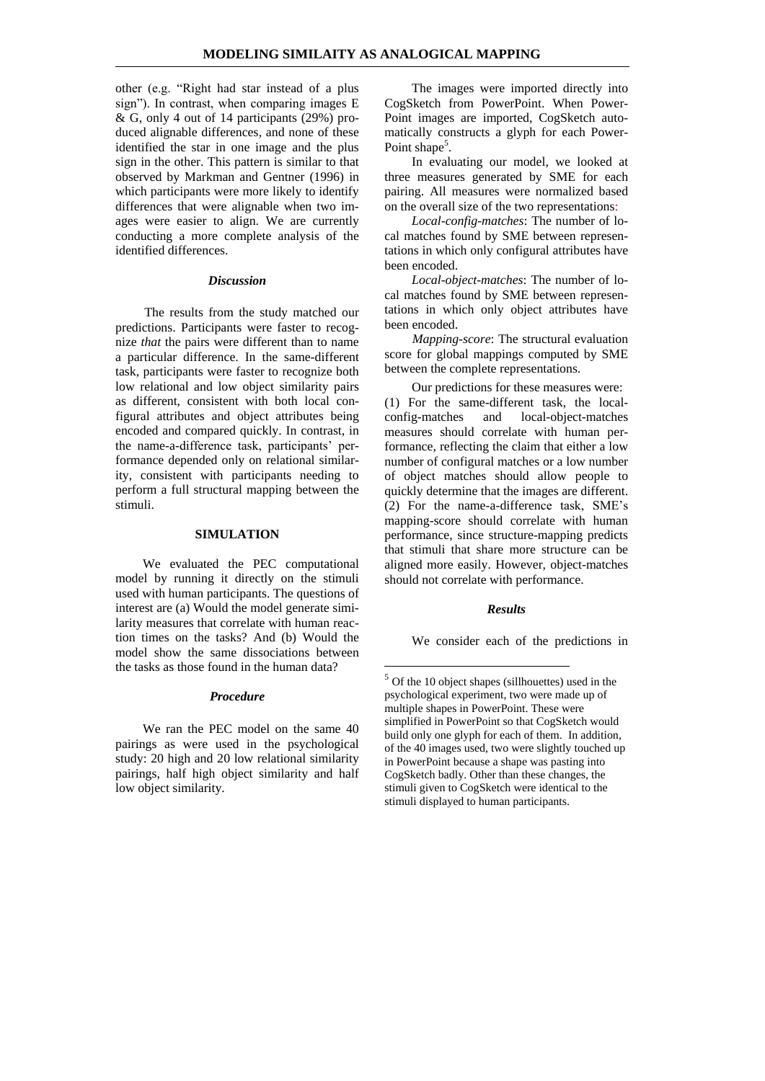other (e.g. "Right had star instead of a plus sign"). In contrast, when comparing images E & G, only 4 out of 14 participants (29%) produced alignable differences, and none of these identified the star in one image and the plus sign in the other. This pattern is similar to that observed by Markman and Gentner (1996) in which participants were more likely to identify differences that were alignable when two images were easier to align. We are currently conducting a more complete analysis of the identified differences.

#### *Discussion*

The results from the study matched our predictions. Participants were faster to recognize *that* the pairs were different than to name a particular difference. In the same-different task, participants were faster to recognize both low relational and low object similarity pairs as different, consistent with both local configural attributes and object attributes being encoded and compared quickly. In contrast, in the name-a-difference task, participants' performance depended only on relational similarity, consistent with participants needing to perform a full structural mapping between the stimuli.

#### **SIMULATION**

We evaluated the PEC computational model by running it directly on the stimuli used with human participants. The questions of interest are (a) Would the model generate similarity measures that correlate with human reaction times on the tasks? And (b) Would the model show the same dissociations between the tasks as those found in the human data?

## *Procedure*

We ran the PEC model on the same 40 pairings as were used in the psychological study: 20 high and 20 low relational similarity pairings, half high object similarity and half low object similarity.

The images were imported directly into CogSketch from PowerPoint. When Power-Point images are imported, CogSketch automatically constructs a glyph for each Power-Point shape<sup>5</sup>.

In evaluating our model, we looked at three measures generated by SME for each pairing. All measures were normalized based on the overall size of the two representations:

*Local-config-matches*: The number of local matches found by SME between representations in which only configural attributes have been encoded.

*Local-object-matches*: The number of local matches found by SME between representations in which only object attributes have been encoded.

*Mapping-score*: The structural evaluation score for global mappings computed by SME between the complete representations.

Our predictions for these measures were: (1) For the same-different task, the localconfig-matches and local-object-matches measures should correlate with human performance, reflecting the claim that either a low number of configural matches or a low number of object matches should allow people to quickly determine that the images are different. (2) For the name-a-difference task, SME's mapping-score should correlate with human performance, since structure-mapping predicts that stimuli that share more structure can be aligned more easily. However, object-matches should not correlate with performance.

#### *Results*

1

We consider each of the predictions in

<sup>5</sup> Of the 10 object shapes (sillhouettes) used in the psychological experiment, two were made up of multiple shapes in PowerPoint. These were simplified in PowerPoint so that CogSketch would build only one glyph for each of them. In addition, of the 40 images used, two were slightly touched up in PowerPoint because a shape was pasting into CogSketch badly. Other than these changes, the stimuli given to CogSketch were identical to the stimuli displayed to human participants.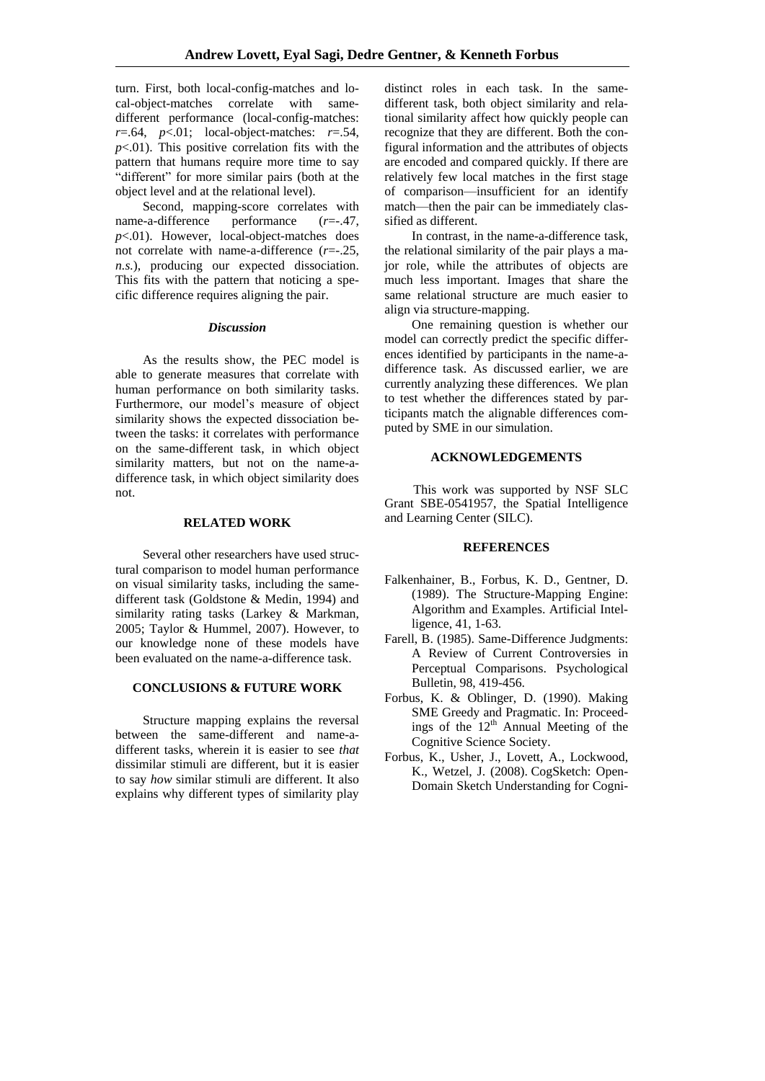turn. First, both local-config-matches and local-object-matches correlate with samedifferent performance (local-config-matches: *r*=.64, *p*<.01; local-object-matches: *r*=.54,  $p<0$ 1). This positive correlation fits with the pattern that humans require more time to say "different" for more similar pairs (both at the object level and at the relational level).

Second, mapping-score correlates with<br>b-a-difference performance  $(r=-.47)$ . name-a-difference performance (*r*=-.47, *p*<.01). However, local-object-matches does not correlate with name-a-difference (*r*=-.25, *n.s.*), producing our expected dissociation. This fits with the pattern that noticing a specific difference requires aligning the pair.

#### *Discussion*

As the results show, the PEC model is able to generate measures that correlate with human performance on both similarity tasks. Furthermore, our model's measure of object similarity shows the expected dissociation between the tasks: it correlates with performance on the same-different task, in which object similarity matters, but not on the name-adifference task, in which object similarity does not.

#### **RELATED WORK**

Several other researchers have used structural comparison to model human performance on visual similarity tasks, including the samedifferent task (Goldstone & Medin, 1994) and similarity rating tasks (Larkey & Markman, 2005; Taylor & Hummel, 2007). However, to our knowledge none of these models have been evaluated on the name-a-difference task.

# **CONCLUSIONS & FUTURE WORK**

Structure mapping explains the reversal between the same-different and name-adifferent tasks, wherein it is easier to see *that* dissimilar stimuli are different, but it is easier to say *how* similar stimuli are different. It also explains why different types of similarity play distinct roles in each task. In the samedifferent task, both object similarity and relational similarity affect how quickly people can recognize that they are different. Both the configural information and the attributes of objects are encoded and compared quickly. If there are relatively few local matches in the first stage of comparison—insufficient for an identify match—then the pair can be immediately classified as different.

In contrast, in the name-a-difference task, the relational similarity of the pair plays a major role, while the attributes of objects are much less important. Images that share the same relational structure are much easier to align via structure-mapping.

One remaining question is whether our model can correctly predict the specific differences identified by participants in the name-adifference task. As discussed earlier, we are currently analyzing these differences. We plan to test whether the differences stated by participants match the alignable differences computed by SME in our simulation.

## **ACKNOWLEDGEMENTS**

This work was supported by NSF SLC Grant SBE-0541957, the Spatial Intelligence and Learning Center (SILC).

#### **REFERENCES**

- Falkenhainer, B., Forbus, K. D., Gentner, D. (1989). The Structure-Mapping Engine: Algorithm and Examples. Artificial Intelligence, 41, 1-63.
- Farell, B. (1985). Same-Difference Judgments: A Review of Current Controversies in Perceptual Comparisons. Psychological Bulletin, 98, 419-456.
- Forbus, K. & Oblinger, D. (1990). Making SME Greedy and Pragmatic. In: Proceedings of the  $12<sup>th</sup>$  Annual Meeting of the Cognitive Science Society.
- Forbus, K., Usher, J., Lovett, A., Lockwood, K., Wetzel, J. (2008). CogSketch: Open-Domain Sketch Understanding for Cogni-